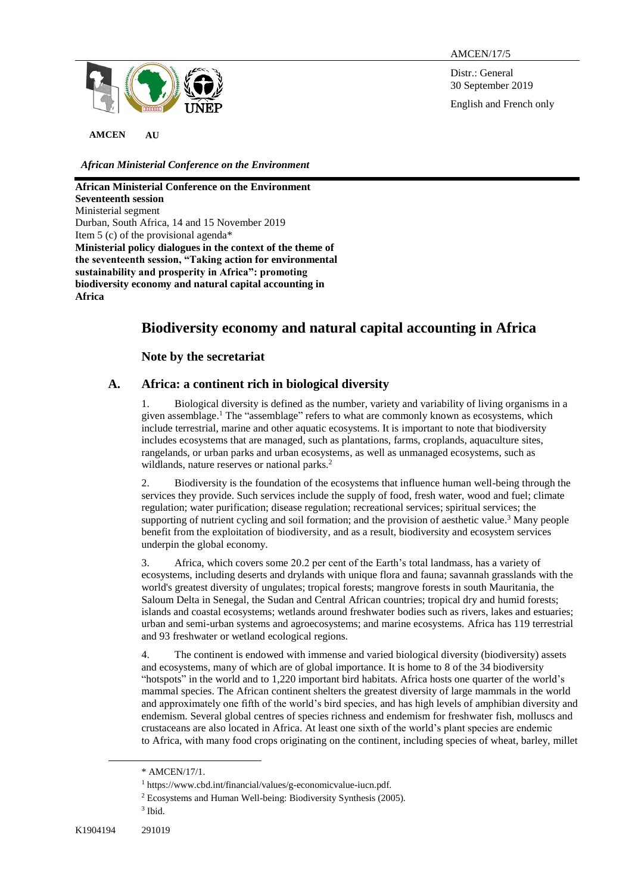

AMCEN/17/5

Distr.: General 30 September 2019 English and French only

**AMCEN AU**

*African Ministerial Conference on the Environment*

**African Ministerial Conference on the Environment Seventeenth session** Ministerial segment Durban, South Africa, 14 and 15 November 2019 Item 5 (c) of the provisional agenda\* **Ministerial policy dialogues in the context of the theme of the seventeenth session, "Taking action for environmental sustainability and prosperity in Africa": promoting biodiversity economy and natural capital accounting in Africa**

# **Biodiversity economy and natural capital accounting in Africa**

**Note by the secretariat**

# **A. Africa: a continent rich in biological diversity**

1. Biological diversity is defined as the number, variety and variability of living organisms in a given assemblage. <sup>1</sup> The "assemblage" refers to what are commonly known as ecosystems, which include terrestrial, marine and other aquatic ecosystems. It is important to note that biodiversity includes ecosystems that are managed, such as plantations, farms, croplands, aquaculture sites, rangelands, or urban parks and urban ecosystems, as well as unmanaged ecosystems, such as wildlands, nature reserves or national parks. 2

2. Biodiversity is the foundation of the ecosystems that influence human well-being through the services they provide. Such services include the supply of food, fresh water, wood and fuel; climate regulation; water purification; disease regulation; recreational services; spiritual services; the supporting of nutrient cycling and soil formation; and the provision of aesthetic value.<sup>3</sup> Many people benefit from the exploitation of biodiversity, and as a result, biodiversity and ecosystem services underpin the global economy.

3. Africa, which covers some 20.2 per cent of the Earth's total landmass, has a variety of ecosystems, including deserts and drylands with unique flora and fauna; savannah grasslands with the world's greatest diversity of ungulates; tropical forests; mangrove forests in south Mauritania, the Saloum Delta in Senegal, the Sudan and Central African countries; tropical dry and humid forests; islands and coastal ecosystems; wetlands around freshwater bodies such as rivers, lakes and estuaries; urban and semi-urban systems and agroecosystems; and marine ecosystems. Africa has 119 terrestrial and 93 freshwater or wetland ecological regions.

4. The continent is endowed with immense and varied biological diversity (biodiversity) assets and ecosystems, many of which are of global importance. It is home to 8 of the 34 biodiversity "hotspots" in the world and to 1,220 important bird habitats. Africa hosts one quarter of the world's mammal species. The African continent shelters the greatest diversity of large mammals in the world and approximately one fifth of the world's bird species, and has high levels of amphibian diversity and endemism. Several global centres of species richness and endemism for freshwater fish, molluscs and crustaceans are also located in Africa. At least one sixth of the world's plant species are endemic to Africa, with many food crops originating on the continent, including species of wheat, barley, millet

<sup>\*</sup> AMCEN/17/1.

<sup>1</sup> https://www.cbd.int/financial/values/g-economicvalue-iucn.pdf.

<sup>2</sup> Ecosystems and Human Well-being: Biodiversity Synthesis (2005).

<sup>3</sup> Ibid.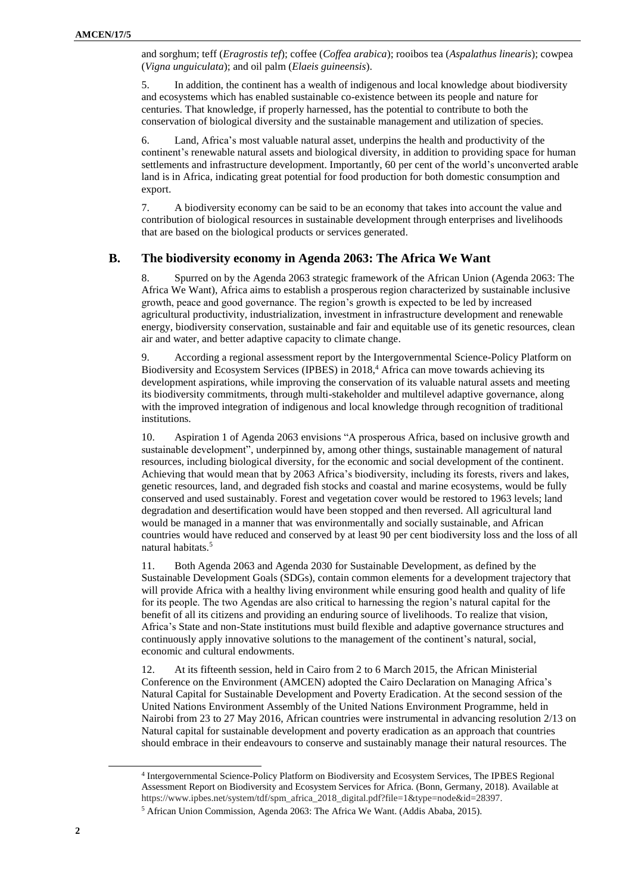and sorghum; teff (*Eragrostis tef*); coffee (*Coffea arabica*); rooibos tea (*Aspalathus linearis*); cowpea (*Vigna unguiculata*); and oil palm (*Elaeis guineensis*).

5. In addition, the continent has a wealth of indigenous and local knowledge about biodiversity and ecosystems which has enabled sustainable co-existence between its people and nature for centuries. That knowledge, if properly harnessed, has the potential to contribute to both the conservation of biological diversity and the sustainable management and utilization of species.

6. Land, Africa's most valuable natural asset, underpins the health and productivity of the continent's renewable natural assets and biological diversity, in addition to providing space for human settlements and infrastructure development. Importantly, 60 per cent of the world's unconverted arable land is in Africa, indicating great potential for food production for both domestic consumption and export.

7. A biodiversity economy can be said to be an economy that takes into account the value and contribution of biological resources in sustainable development through enterprises and livelihoods that are based on the biological products or services generated.

## **B. The biodiversity economy in Agenda 2063: The Africa We Want**

8. Spurred on by the Agenda 2063 strategic framework of the African Union (Agenda 2063: The Africa We Want), Africa aims to establish a prosperous region characterized by sustainable inclusive growth, peace and good governance. The region's growth is expected to be led by increased agricultural productivity, industrialization, investment in infrastructure development and renewable energy, biodiversity conservation, sustainable and fair and equitable use of its genetic resources, clean air and water, and better adaptive capacity to climate change.

9. According a regional assessment report by the Intergovernmental Science-Policy Platform on Biodiversity and Ecosystem Services (IPBES) in 2018, <sup>4</sup> Africa can move towards achieving its development aspirations, while improving the conservation of its valuable natural assets and meeting its biodiversity commitments, through multi-stakeholder and multilevel adaptive governance, along with the improved integration of indigenous and local knowledge through recognition of traditional institutions.

10. Aspiration 1 of Agenda 2063 envisions "A prosperous Africa, based on inclusive growth and sustainable development", underpinned by, among other things, sustainable management of natural resources, including biological diversity, for the economic and social development of the continent. Achieving that would mean that by 2063 Africa's biodiversity, including its forests, rivers and lakes, genetic resources, land, and degraded fish stocks and coastal and marine ecosystems, would be fully conserved and used sustainably. Forest and vegetation cover would be restored to 1963 levels; land degradation and desertification would have been stopped and then reversed. All agricultural land would be managed in a manner that was environmentally and socially sustainable, and African countries would have reduced and conserved by at least 90 per cent biodiversity loss and the loss of all natural habitats. 5

11. Both Agenda 2063 and Agenda 2030 for Sustainable Development, as defined by the Sustainable Development Goals (SDGs), contain common elements for a development trajectory that will provide Africa with a healthy living environment while ensuring good health and quality of life for its people. The two Agendas are also critical to harnessing the region's natural capital for the benefit of all its citizens and providing an enduring source of livelihoods. To realize that vision, Africa's State and non-State institutions must build flexible and adaptive governance structures and continuously apply innovative solutions to the management of the continent's natural, social, economic and cultural endowments.

12. At its fifteenth session, held in Cairo from 2 to 6 March 2015, the African Ministerial Conference on the Environment (AMCEN) adopted the Cairo Declaration on Managing Africa's Natural Capital for Sustainable Development and Poverty Eradication. At the second session of the United Nations Environment Assembly of the United Nations Environment Programme, held in Nairobi from 23 to 27 May 2016, African countries were instrumental in advancing resolution 2/13 on Natural capital for sustainable development and poverty eradication as an approach that countries should embrace in their endeavours to conserve and sustainably manage their natural resources. The

l

<sup>4</sup> Intergovernmental Science-Policy Platform on Biodiversity and Ecosystem Services, The IPBES Regional Assessment Report on Biodiversity and Ecosystem Services for Africa. (Bonn, Germany, 2018). Available at https://www.ipbes.net/system/tdf/spm\_africa\_2018\_digital.pdf?file=1&type=node&id=28397.

<sup>5</sup> African Union Commission, Agenda 2063: The Africa We Want. (Addis Ababa, 2015).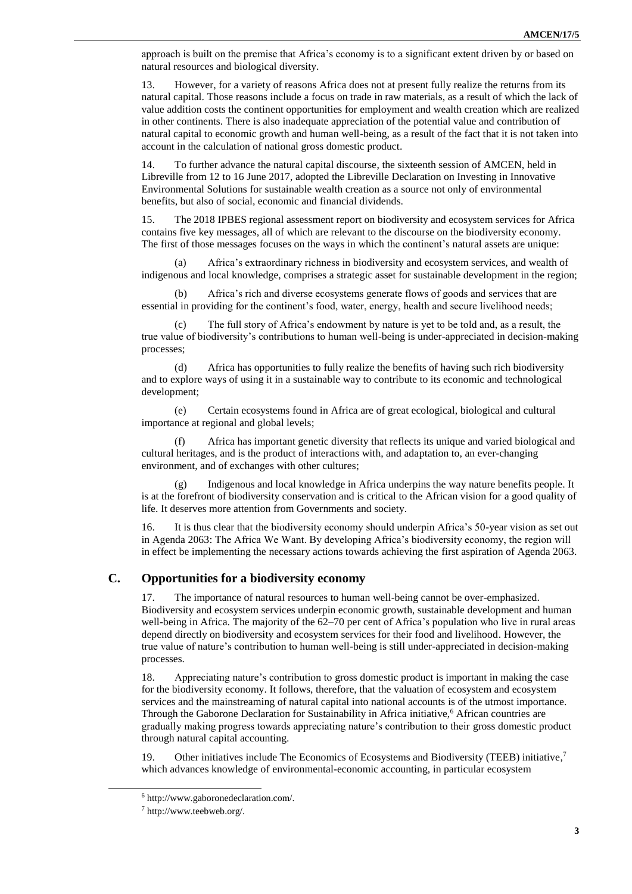approach is built on the premise that Africa's economy is to a significant extent driven by or based on natural resources and biological diversity.

13. However, for a variety of reasons Africa does not at present fully realize the returns from its natural capital. Those reasons include a focus on trade in raw materials, as a result of which the lack of value addition costs the continent opportunities for employment and wealth creation which are realized in other continents. There is also inadequate appreciation of the potential value and contribution of natural capital to economic growth and human well-being, as a result of the fact that it is not taken into account in the calculation of national gross domestic product.

14. To further advance the natural capital discourse, the sixteenth session of AMCEN, held in Libreville from 12 to 16 June 2017, adopted the Libreville Declaration on Investing in Innovative Environmental Solutions for sustainable wealth creation as a source not only of environmental benefits, but also of social, economic and financial dividends.

15. The 2018 IPBES regional assessment report on biodiversity and ecosystem services for Africa contains five key messages, all of which are relevant to the discourse on the biodiversity economy. The first of those messages focuses on the ways in which the continent's natural assets are unique:

(a) Africa's extraordinary richness in biodiversity and ecosystem services, and wealth of indigenous and local knowledge, comprises a strategic asset for sustainable development in the region;

(b) Africa's rich and diverse ecosystems generate flows of goods and services that are essential in providing for the continent's food, water, energy, health and secure livelihood needs;

(c) The full story of Africa's endowment by nature is yet to be told and, as a result, the true value of biodiversity's contributions to human well-being is under-appreciated in decision-making processes;

(d) Africa has opportunities to fully realize the benefits of having such rich biodiversity and to explore ways of using it in a sustainable way to contribute to its economic and technological development;

(e) Certain ecosystems found in Africa are of great ecological, biological and cultural importance at regional and global levels;

(f) Africa has important genetic diversity that reflects its unique and varied biological and cultural heritages, and is the product of interactions with, and adaptation to, an ever-changing environment, and of exchanges with other cultures;

(g) Indigenous and local knowledge in Africa underpins the way nature benefits people. It is at the forefront of biodiversity conservation and is critical to the African vision for a good quality of life. It deserves more attention from Governments and society.

16. It is thus clear that the biodiversity economy should underpin Africa's 50-year vision as set out in Agenda 2063: The Africa We Want. By developing Africa's biodiversity economy, the region will in effect be implementing the necessary actions towards achieving the first aspiration of Agenda 2063.

# **C. Opportunities for a biodiversity economy**

17. The importance of natural resources to human well-being cannot be over-emphasized. Biodiversity and ecosystem services underpin economic growth, sustainable development and human well-being in Africa. The majority of the 62–70 per cent of Africa's population who live in rural areas depend directly on biodiversity and ecosystem services for their food and livelihood. However, the true value of nature's contribution to human well-being is still under-appreciated in decision-making processes.

18. Appreciating nature's contribution to gross domestic product is important in making the case for the biodiversity economy. It follows, therefore, that the valuation of ecosystem and ecosystem services and the mainstreaming of natural capital into national accounts is of the utmost importance. Through the Gaborone Declaration for Sustainability in Africa initiative,<sup>6</sup> African countries are gradually making progress towards appreciating nature's contribution to their gross domestic product through natural capital accounting.

19. Other initiatives include The Economics of Ecosystems and Biodiversity (TEEB) initiative, 7 which advances knowledge of environmental-economic accounting, in particular ecosystem

<sup>6</sup> http://www.gaboronedeclaration.com/.

<sup>7</sup> http://www.teebweb.org/.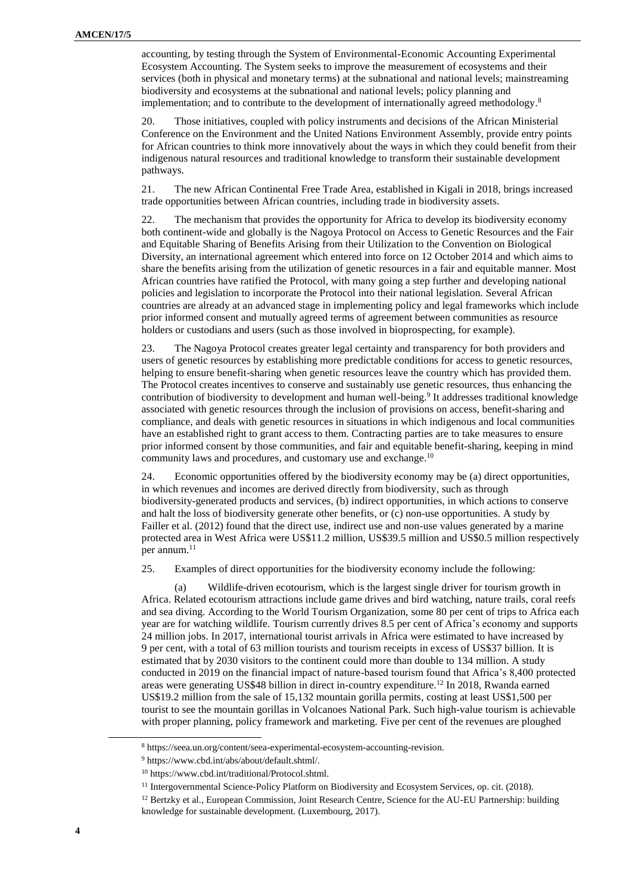accounting, by testing through the System of Environmental-Economic Accounting Experimental Ecosystem Accounting. The System seeks to improve the measurement of ecosystems and their services (both in physical and monetary terms) at the subnational and national levels; mainstreaming biodiversity and ecosystems at the subnational and national levels; policy planning and implementation; and to contribute to the development of internationally agreed methodology.<sup>8</sup>

20. Those initiatives, coupled with policy instruments and decisions of the African Ministerial Conference on the Environment and the United Nations Environment Assembly, provide entry points for African countries to think more innovatively about the ways in which they could benefit from their indigenous natural resources and traditional knowledge to transform their sustainable development pathways.

21. The new African Continental Free Trade Area, established in Kigali in 2018, brings increased trade opportunities between African countries, including trade in biodiversity assets.

22. The mechanism that provides the opportunity for Africa to develop its biodiversity economy both continent-wide and globally is the Nagoya Protocol on Access to Genetic Resources and the Fair and Equitable Sharing of Benefits Arising from their Utilization to the Convention on Biological Diversity, an international agreement which entered into force on 12 October 2014 and which aims to share the benefits arising from the utilization of genetic resources in a fair and equitable manner. Most African countries have ratified the Protocol, with many going a step further and developing national policies and legislation to incorporate the Protocol into their national legislation. Several African countries are already at an advanced stage in implementing policy and legal frameworks which include prior informed consent and mutually agreed terms of agreement between communities as resource holders or custodians and users (such as those involved in bioprospecting, for example).

23. The Nagoya Protocol creates greater legal certainty and transparency for both providers and users of genetic resources by establishing more predictable conditions for access to genetic resources, helping to ensure benefit-sharing when genetic resources leave the country which has provided them. The Protocol creates incentives to conserve and sustainably use genetic resources, thus enhancing the contribution of biodiversity to development and human well-being. 9 It addresses traditional knowledge associated with genetic resources through the inclusion of provisions on access, benefit-sharing and compliance, and deals with genetic resources in situations in which indigenous and local communities have an established right to grant access to them. Contracting parties are to take measures to ensure prior informed consent by those communities, and fair and equitable benefit-sharing, keeping in mind community laws and procedures, and customary use and exchange.<sup>10</sup>

24. Economic opportunities offered by the biodiversity economy may be (a) direct opportunities, in which revenues and incomes are derived directly from biodiversity, such as through biodiversity-generated products and services, (b) indirect opportunities, in which actions to conserve and halt the loss of biodiversity generate other benefits, or (c) non-use opportunities. A study by Failler et al. (2012) found that the direct use, indirect use and non-use values generated by a marine protected area in West Africa were US\$11.2 million, US\$39.5 million and US\$0.5 million respectively per annum. 11

25. Examples of direct opportunities for the biodiversity economy include the following:

(a) Wildlife-driven ecotourism, which is the largest single driver for tourism growth in Africa. Related ecotourism attractions include game drives and bird watching, nature trails, coral reefs and sea diving. According to the World Tourism Organization, some 80 per cent of trips to Africa each year are for watching wildlife. Tourism currently drives 8.5 per cent of Africa's economy and supports 24 million jobs. In 2017, international tourist arrivals in Africa were estimated to have increased by 9 per cent, with a total of 63 million tourists and tourism receipts in excess of US\$37 billion. It is estimated that by 2030 visitors to the continent could more than double to 134 million. A study conducted in 2019 on the financial impact of nature-based tourism found that Africa's 8,400 protected areas were generating US\$48 billion in direct in-country expenditure.<sup>12</sup> In 2018, Rwanda earned US\$19.2 million from the sale of 15,132 mountain gorilla permits, costing at least US\$1,500 per tourist to see the mountain gorillas in Volcanoes National Park. Such high-value tourism is achievable with proper planning, policy framework and marketing. Five per cent of the revenues are ploughed

<sup>8</sup> https://seea.un.org/content/seea-experimental-ecosystem-accounting-revision.

<sup>9</sup> https://www.cbd.int/abs/about/default.shtml/.

<sup>10</sup> https://www.cbd.int/traditional/Protocol.shtml.

<sup>&</sup>lt;sup>11</sup> Intergovernmental Science-Policy Platform on Biodiversity and Ecosystem Services, op. cit. (2018).

<sup>&</sup>lt;sup>12</sup> Bertzky et al., European Commission, Joint Research Centre, Science for the AU-EU Partnership: building knowledge for sustainable development. (Luxembourg, 2017).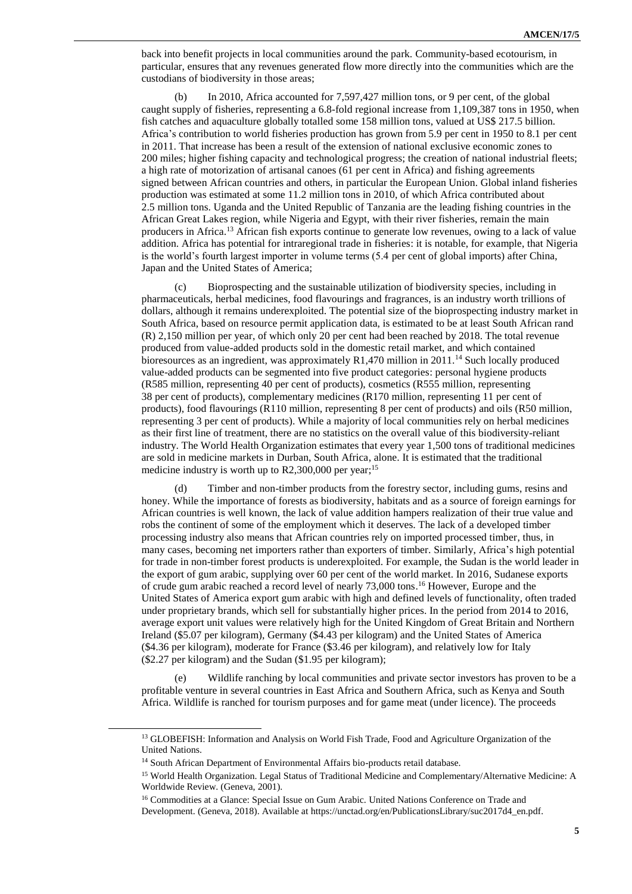back into benefit projects in local communities around the park. Community-based ecotourism, in particular, ensures that any revenues generated flow more directly into the communities which are the custodians of biodiversity in those areas;

(b) In 2010, Africa accounted for 7,597,427 million tons, or 9 per cent, of the global caught supply of fisheries, representing a 6.8-fold regional increase from 1,109,387 tons in 1950, when fish catches and aquaculture globally totalled some 158 million tons, valued at US\$ 217.5 billion. Africa's contribution to world fisheries production has grown from 5.9 per cent in 1950 to 8.1 per cent in 2011. That increase has been a result of the extension of national exclusive economic zones to 200 miles; higher fishing capacity and technological progress; the creation of national industrial fleets; a high rate of motorization of artisanal canoes (61 per cent in Africa) and fishing agreements signed between African countries and others, in particular the European Union. Global inland fisheries production was estimated at some 11.2 million tons in 2010, of which Africa contributed about 2.5 million tons. Uganda and the United Republic of Tanzania are the leading fishing countries in the African Great Lakes region, while Nigeria and Egypt, with their river fisheries, remain the main producers in Africa. <sup>13</sup> African fish exports continue to generate low revenues, owing to a lack of value addition. Africa has potential for intraregional trade in fisheries: it is notable, for example, that Nigeria is the world's fourth largest importer in volume terms (5.4 per cent of global imports) after China, Japan and the United States of America;

(c) Bioprospecting and the sustainable utilization of biodiversity species, including in pharmaceuticals, herbal medicines, food flavourings and fragrances, is an industry worth trillions of dollars, although it remains underexploited. The potential size of the bioprospecting industry market in South Africa, based on resource permit application data, is estimated to be at least South African rand (R) 2,150 million per year, of which only 20 per cent had been reached by 2018. The total revenue produced from value-added products sold in the domestic retail market, and which contained bioresources as an ingredient, was approximately R1,470 million in 2011.<sup>14</sup> Such locally produced value-added products can be segmented into five product categories: personal hygiene products (R585 million, representing 40 per cent of products), cosmetics (R555 million, representing 38 per cent of products), complementary medicines (R170 million, representing 11 per cent of products), food flavourings (R110 million, representing 8 per cent of products) and oils (R50 million, representing 3 per cent of products). While a majority of local communities rely on herbal medicines as their first line of treatment, there are no statistics on the overall value of this biodiversity-reliant industry. The World Health Organization estimates that every year 1,500 tons of traditional medicines are sold in medicine markets in Durban, South Africa, alone. It is estimated that the traditional medicine industry is worth up to R2,300,000 per year;<sup>15</sup>

Timber and non-timber products from the forestry sector, including gums, resins and honey. While the importance of forests as biodiversity, habitats and as a source of foreign earnings for African countries is well known, the lack of value addition hampers realization of their true value and robs the continent of some of the employment which it deserves. The lack of a developed timber processing industry also means that African countries rely on imported processed timber, thus, in many cases, becoming net importers rather than exporters of timber. Similarly, Africa's high potential for trade in non-timber forest products is underexploited. For example, the Sudan is the world leader in the export of gum arabic, supplying over 60 per cent of the world market. In 2016, Sudanese exports of crude gum arabic reached a record level of nearly 73,000 tons.<sup>16</sup> However, Europe and the United States of America export gum arabic with high and defined levels of functionality, often traded under proprietary brands, which sell for substantially higher prices. In the period from 2014 to 2016, average export unit values were relatively high for the United Kingdom of Great Britain and Northern Ireland (\$5.07 per kilogram), Germany (\$4.43 per kilogram) and the United States of America (\$4.36 per kilogram), moderate for France (\$3.46 per kilogram), and relatively low for Italy (\$2.27 per kilogram) and the Sudan (\$1.95 per kilogram);

(e) Wildlife ranching by local communities and private sector investors has proven to be a profitable venture in several countries in East Africa and Southern Africa, such as Kenya and South Africa. Wildlife is ranched for tourism purposes and for game meat (under licence). The proceeds

<sup>&</sup>lt;sup>13</sup> GLOBEFISH: Information and Analysis on World Fish Trade, Food and Agriculture Organization of the United Nations.

<sup>&</sup>lt;sup>14</sup> South African Department of Environmental Affairs bio-products retail database.

<sup>15</sup> World Health Organization. Legal Status of Traditional Medicine and Complementary/Alternative Medicine: A Worldwide Review. (Geneva, 2001).

<sup>&</sup>lt;sup>16</sup> Commodities at a Glance: Special Issue on Gum Arabic. United Nations Conference on Trade and Development. (Geneva, 2018). Available a[t https://unctad.org/en/PublicationsLibrary/suc2017d4\\_en.pdf.](https://unctad.org/en/PublicationsLibrary/suc2017d4_en.pdf)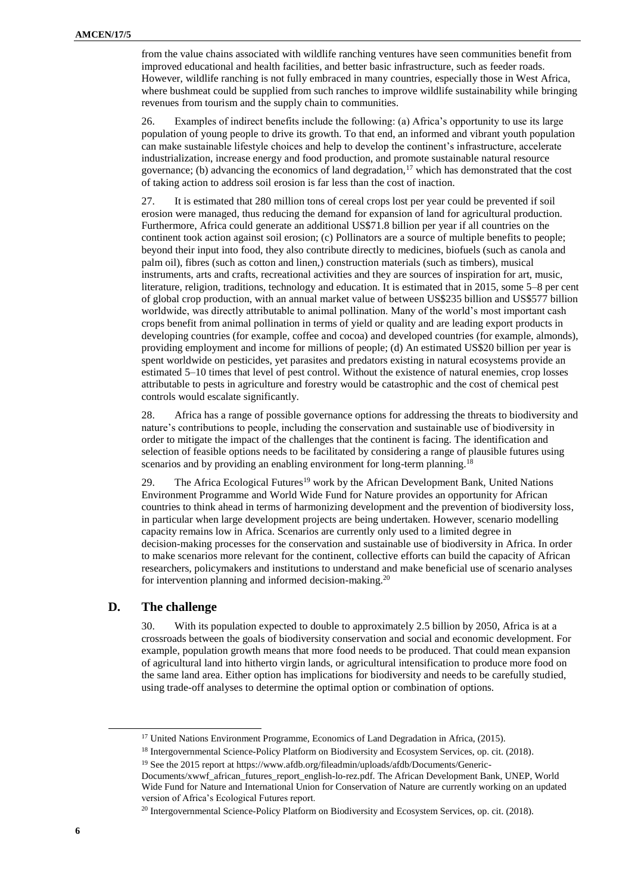from the value chains associated with wildlife ranching ventures have seen communities benefit from improved educational and health facilities, and better basic infrastructure, such as feeder roads. However, wildlife ranching is not fully embraced in many countries, especially those in West Africa, where bushmeat could be supplied from such ranches to improve wildlife sustainability while bringing revenues from tourism and the supply chain to communities.

26. Examples of indirect benefits include the following: (a) Africa's opportunity to use its large population of young people to drive its growth. To that end, an informed and vibrant youth population can make sustainable lifestyle choices and help to develop the continent's infrastructure, accelerate industrialization, increase energy and food production, and promote sustainable natural resource governance; (b) advancing the economics of land degradation,<sup>17</sup> which has demonstrated that the cost of taking action to address soil erosion is far less than the cost of inaction.

27. It is estimated that 280 million tons of cereal crops lost per year could be prevented if soil erosion were managed, thus reducing the demand for expansion of land for agricultural production. Furthermore, Africa could generate an additional US\$71.8 billion per year if all countries on the continent took action against soil erosion; (c) Pollinators are a source of multiple benefits to people; beyond their input into food, they also contribute directly to medicines, biofuels (such as canola and palm oil), fibres (such as cotton and linen,) construction materials (such as timbers), musical instruments, arts and crafts, recreational activities and they are sources of inspiration for art, music, literature, religion, traditions, technology and education. It is estimated that in 2015, some 5–8 per cent of global crop production, with an annual market value of between US\$235 billion and US\$577 billion worldwide, was directly attributable to animal pollination. Many of the world's most important cash crops benefit from animal pollination in terms of yield or quality and are leading export products in developing countries (for example, coffee and cocoa) and developed countries (for example, almonds), providing employment and income for millions of people; (d) An estimated US\$20 billion per year is spent worldwide on pesticides, yet parasites and predators existing in natural ecosystems provide an estimated 5–10 times that level of pest control. Without the existence of natural enemies, crop losses attributable to pests in agriculture and forestry would be catastrophic and the cost of chemical pest controls would escalate significantly.

28. Africa has a range of possible governance options for addressing the threats to biodiversity and nature's contributions to people, including the conservation and sustainable use of biodiversity in order to mitigate the impact of the challenges that the continent is facing. The identification and selection of feasible options needs to be facilitated by considering a range of plausible futures using scenarios and by providing an enabling environment for long-term planning.<sup>18</sup>

29. The Africa Ecological Futures<sup>19</sup> work by the African Development Bank, United Nations Environment Programme and World Wide Fund for Nature provides an opportunity for African countries to think ahead in terms of harmonizing development and the prevention of biodiversity loss, in particular when large development projects are being undertaken. However, scenario modelling capacity remains low in Africa. Scenarios are currently only used to a limited degree in decision-making processes for the conservation and sustainable use of biodiversity in Africa. In order to make scenarios more relevant for the continent, collective efforts can build the capacity of African researchers, policymakers and institutions to understand and make beneficial use of scenario analyses for intervention planning and informed decision-making.<sup>20</sup>

## **D. The challenge**

30. With its population expected to double to approximately 2.5 billion by 2050, Africa is at a crossroads between the goals of biodiversity conservation and social and economic development. For example, population growth means that more food needs to be produced. That could mean expansion of agricultural land into hitherto virgin lands, or agricultural intensification to produce more food on the same land area. Either option has implications for biodiversity and needs to be carefully studied, using trade-off analyses to determine the optimal option or combination of options.

<sup>&</sup>lt;sup>17</sup> United Nations Environment Programme, Economics of Land Degradation in Africa, (2015).

<sup>18</sup> Intergovernmental Science-Policy Platform on Biodiversity and Ecosystem Services, op. cit. (2018).

<sup>19</sup> See the 2015 report a[t https://www.afdb.org/fileadmin/uploads/afdb/Documents/Generic-](https://www.afdb.org/fileadmin/uploads/afdb/Documents/Generic-Documents/xwwf_african_futures_report_english-lo-rez.pdf)

[Documents/xwwf\\_african\\_futures\\_report\\_english-lo-rez.pdf.](https://www.afdb.org/fileadmin/uploads/afdb/Documents/Generic-Documents/xwwf_african_futures_report_english-lo-rez.pdf) The African Development Bank, UNEP, World Wide Fund for Nature and International Union for Conservation of Nature are currently working on an updated version of Africa's Ecological Futures report.

<sup>&</sup>lt;sup>20</sup> Intergovernmental Science-Policy Platform on Biodiversity and Ecosystem Services, op. cit. (2018).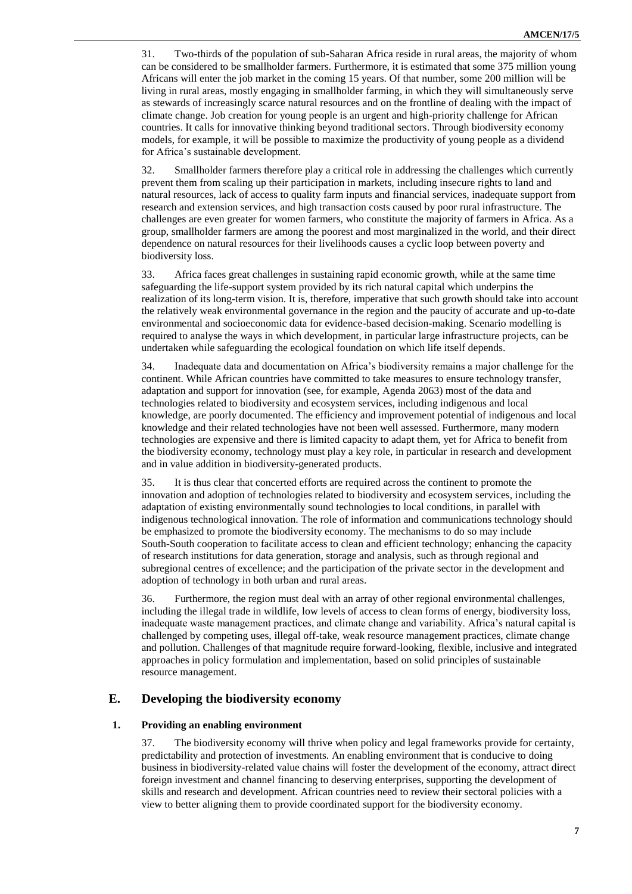31. Two-thirds of the population of sub-Saharan Africa reside in rural areas, the majority of whom can be considered to be smallholder farmers. Furthermore, it is estimated that some 375 million young Africans will enter the job market in the coming 15 years. Of that number, some 200 million will be living in rural areas, mostly engaging in smallholder farming, in which they will simultaneously serve as stewards of increasingly scarce natural resources and on the frontline of dealing with the impact of climate change. Job creation for young people is an urgent and high-priority challenge for African countries. It calls for innovative thinking beyond traditional sectors. Through biodiversity economy models, for example, it will be possible to maximize the productivity of young people as a dividend for Africa's sustainable development.

32. Smallholder farmers therefore play a critical role in addressing the challenges which currently prevent them from scaling up their participation in markets, including insecure rights to land and natural resources, lack of access to quality farm inputs and financial services, inadequate support from research and extension services, and high transaction costs caused by poor rural infrastructure. The challenges are even greater for women farmers, who constitute the majority of farmers in Africa. As a group, smallholder farmers are among the poorest and most marginalized in the world, and their direct dependence on natural resources for their livelihoods causes a cyclic loop between poverty and biodiversity loss.

33. Africa faces great challenges in sustaining rapid economic growth, while at the same time safeguarding the life-support system provided by its rich natural capital which underpins the realization of its long-term vision. It is, therefore, imperative that such growth should take into account the relatively weak environmental governance in the region and the paucity of accurate and up-to-date environmental and socioeconomic data for evidence-based decision-making. Scenario modelling is required to analyse the ways in which development, in particular large infrastructure projects, can be undertaken while safeguarding the ecological foundation on which life itself depends.

34. Inadequate data and documentation on Africa's biodiversity remains a major challenge for the continent. While African countries have committed to take measures to ensure technology transfer, adaptation and support for innovation (see, for example, Agenda 2063) most of the data and technologies related to biodiversity and ecosystem services, including indigenous and local knowledge, are poorly documented. The efficiency and improvement potential of indigenous and local knowledge and their related technologies have not been well assessed. Furthermore, many modern technologies are expensive and there is limited capacity to adapt them, yet for Africa to benefit from the biodiversity economy, technology must play a key role, in particular in research and development and in value addition in biodiversity-generated products.

35. It is thus clear that concerted efforts are required across the continent to promote the innovation and adoption of technologies related to biodiversity and ecosystem services, including the adaptation of existing environmentally sound technologies to local conditions, in parallel with indigenous technological innovation. The role of information and communications technology should be emphasized to promote the biodiversity economy. The mechanisms to do so may include South-South cooperation to facilitate access to clean and efficient technology; enhancing the capacity of research institutions for data generation, storage and analysis, such as through regional and subregional centres of excellence; and the participation of the private sector in the development and adoption of technology in both urban and rural areas.

36. Furthermore, the region must deal with an array of other regional environmental challenges, including the illegal trade in wildlife, low levels of access to clean forms of energy, biodiversity loss, inadequate waste management practices, and climate change and variability. Africa's natural capital is challenged by competing uses, illegal off-take, weak resource management practices, climate change and pollution. Challenges of that magnitude require forward-looking, flexible, inclusive and integrated approaches in policy formulation and implementation, based on solid principles of sustainable resource management.

### **E. Developing the biodiversity economy**

#### **1. Providing an enabling environment**

37. The biodiversity economy will thrive when policy and legal frameworks provide for certainty, predictability and protection of investments. An enabling environment that is conducive to doing business in biodiversity-related value chains will foster the development of the economy, attract direct foreign investment and channel financing to deserving enterprises, supporting the development of skills and research and development. African countries need to review their sectoral policies with a view to better aligning them to provide coordinated support for the biodiversity economy.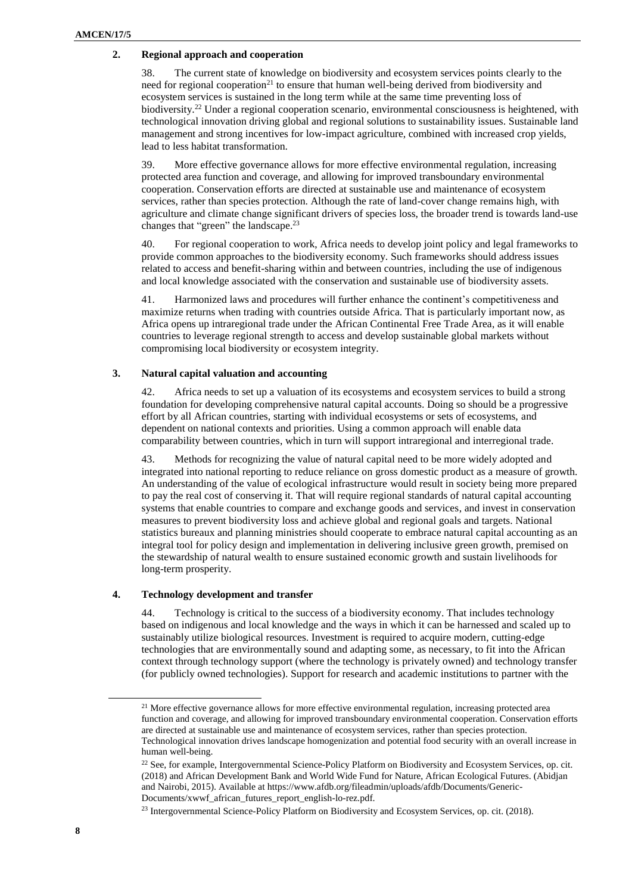#### **2. Regional approach and cooperation**

38. The current state of knowledge on biodiversity and ecosystem services points clearly to the need for regional cooperation<sup>21</sup> to ensure that human well-being derived from biodiversity and ecosystem services is sustained in the long term while at the same time preventing loss of biodiversity.<sup>22</sup> Under a regional cooperation scenario, environmental consciousness is heightened, with technological innovation driving global and regional solutions to sustainability issues. Sustainable land management and strong incentives for low-impact agriculture, combined with increased crop yields, lead to less habitat transformation.

39. More effective governance allows for more effective environmental regulation, increasing protected area function and coverage, and allowing for improved transboundary environmental cooperation. Conservation efforts are directed at sustainable use and maintenance of ecosystem services, rather than species protection. Although the rate of land-cover change remains high, with agriculture and climate change significant drivers of species loss, the broader trend is towards land-use changes that "green" the landscape.<sup>23</sup>

40. For regional cooperation to work, Africa needs to develop joint policy and legal frameworks to provide common approaches to the biodiversity economy. Such frameworks should address issues related to access and benefit-sharing within and between countries, including the use of indigenous and local knowledge associated with the conservation and sustainable use of biodiversity assets.

41. Harmonized laws and procedures will further enhance the continent's competitiveness and maximize returns when trading with countries outside Africa. That is particularly important now, as Africa opens up intraregional trade under the African Continental Free Trade Area, as it will enable countries to leverage regional strength to access and develop sustainable global markets without compromising local biodiversity or ecosystem integrity.

#### **3. Natural capital valuation and accounting**

42. Africa needs to set up a valuation of its ecosystems and ecosystem services to build a strong foundation for developing comprehensive natural capital accounts. Doing so should be a progressive effort by all African countries, starting with individual ecosystems or sets of ecosystems, and dependent on national contexts and priorities. Using a common approach will enable data comparability between countries, which in turn will support intraregional and interregional trade.

43. Methods for recognizing the value of natural capital need to be more widely adopted and integrated into national reporting to reduce reliance on gross domestic product as a measure of growth. An understanding of the value of ecological infrastructure would result in society being more prepared to pay the real cost of conserving it. That will require regional standards of natural capital accounting systems that enable countries to compare and exchange goods and services, and invest in conservation measures to prevent biodiversity loss and achieve global and regional goals and targets. National statistics bureaux and planning ministries should cooperate to embrace natural capital accounting as an integral tool for policy design and implementation in delivering inclusive green growth, premised on the stewardship of natural wealth to ensure sustained economic growth and sustain livelihoods for long-term prosperity.

#### **4. Technology development and transfer**

44. Technology is critical to the success of a biodiversity economy. That includes technology based on indigenous and local knowledge and the ways in which it can be harnessed and scaled up to sustainably utilize biological resources. Investment is required to acquire modern, cutting-edge technologies that are environmentally sound and adapting some, as necessary, to fit into the African context through technology support (where the technology is privately owned) and technology transfer (for publicly owned technologies). Support for research and academic institutions to partner with the

l

 $21$  More effective governance allows for more effective environmental regulation, increasing protected area function and coverage, and allowing for improved transboundary environmental cooperation. Conservation efforts are directed at sustainable use and maintenance of ecosystem services, rather than species protection. Technological innovation drives landscape homogenization and potential food security with an overall increase in human well-being.

<sup>&</sup>lt;sup>22</sup> See, for example, Intergovernmental Science-Policy Platform on Biodiversity and Ecosystem Services, op. cit. (2018) and African Development Bank and World Wide Fund for Nature, African Ecological Futures. (Abidjan and Nairobi, 2015). Available at https://www.afdb.org/fileadmin/uploads/afdb/Documents/Generic-Documents/xwwf\_african\_futures\_report\_english-lo-rez.pdf.

<sup>23</sup> Intergovernmental Science-Policy Platform on Biodiversity and Ecosystem Services, op. cit. (2018).